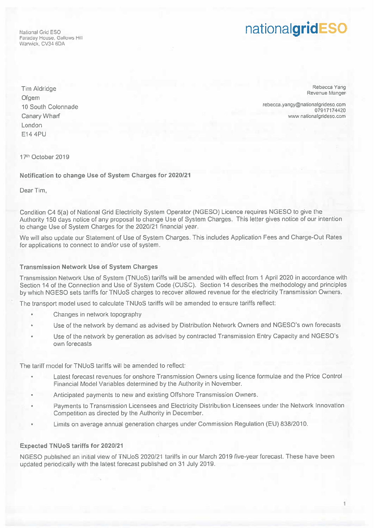Warwick, CV34 60A

## National Grid ESO **Properties**

Tim Aldridge Rebecca Yang Rebecca Yang Rebecca Yang Rebecca Yang Rebecca Yang Rebecca Yang Revenue Manger Revenue Manger Revenue Manger Revenue Manger Revenue Manger Revenue Manger Revenue Manger Revenue Manger Revenue Man London E14 4PU

10 South Colonnade rebecca.yangy@nationalgrideso.com **Canary Wharf** What www.nationalgrideso.com

17th October 2019

Notification to change Use of System Charges for 2020121

Dear Tim,

Condition C4 5(a) of National Grid Electricity System Operator (NGESO) Licence requires NGESO to <sup>g</sup>ive the Authority <sup>150</sup> days notice of any proposa<sup>l</sup> to change Use of System Charges. This letter <sup>g</sup>ives notice of our intention to change Use of System Charges for the 2020/21 financial year.

We will also update our Statement of Use of System Charges. This includes Application Fees and Charge-Out Rates for applications to connect to and/or use of system.

## Transmission Network Use of System Charges

Transmission Network Use of System (TNUoS) tariffs will be amended with effect from <sup>1</sup> April 2020 in accordance with Section 14 of the Connection and Use of System Code (CUSC). Section 14 describes the methodology and principles by which NGESO sets tariffs for TNUoS charges to recover allowed revenue for the electricity Transmission Owners.

The transport model used to calculate TNUoS tariffs will be amended to ensure tariffs reflect:

- •Changes in network topography
- •Use of the network by demand as advised by Distribution Network Owners and NGESO's own forecasts
- Use of the network by generation as advised by contracted Transmission Entry Capacity and NGESO's own forecasts

The tariff model for TNUoS tariffs will be amended to reflect:

- • Latest forecast revenues for onshore Transmission Owners using licence formulae and the Price Control Financial Model Variables determined by the Authority in November.
- •Anticipated payments to new and existing Offshore Transmission Owners.
- • Payments to Transmission Licensees and Electricity Distribution Licensees under the Network Innovation Competition as directed by the Authority in December.
- •Limits on average annual generation charges under Commission Regulation (EU) 838/2010.

## Expected TNUoS tariffs for 2020/21

NGESO published an initial view of TNUoS 2020/21 tariffs in our March 2019 five-year forecast. These have been updated periodically with the latest forecast published on 31 July 2019.